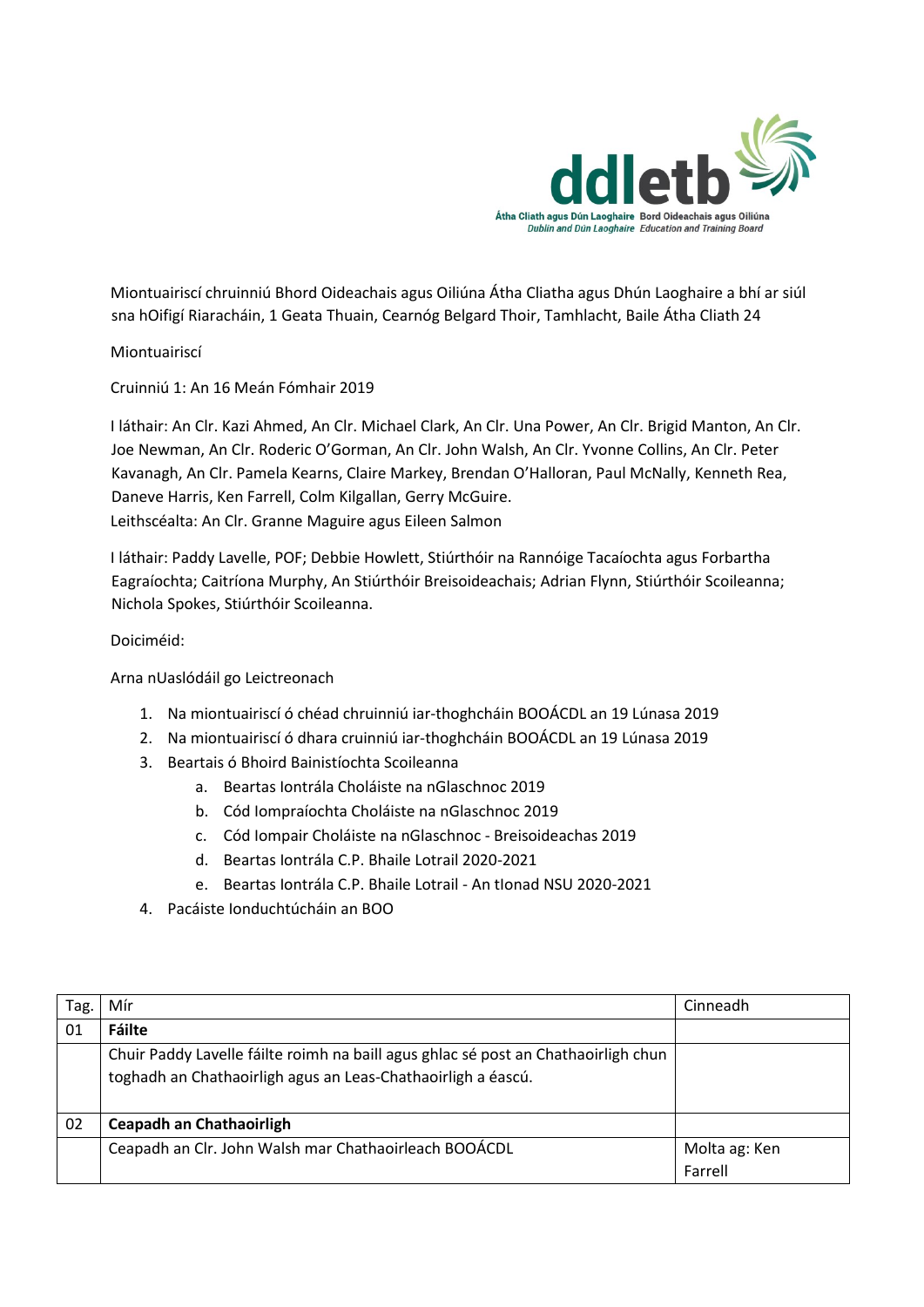

Miontuairiscí chruinniú Bhord Oideachais agus Oiliúna Átha Cliatha agus Dhún Laoghaire a bhí ar siúl sna hOifigí Riaracháin, 1 Geata Thuain, Cearnóg Belgard Thoir, Tamhlacht, Baile Átha Cliath 24

Miontuairiscí

Cruinniú 1: An 16 Meán Fómhair 2019

I láthair: An Clr. Kazi Ahmed, An Clr. Michael Clark, An Clr. Una Power, An Clr. Brigid Manton, An Clr. Joe Newman, An Clr. Roderic O'Gorman, An Clr. John Walsh, An Clr. Yvonne Collins, An Clr. Peter Kavanagh, An Clr. Pamela Kearns, Claire Markey, Brendan O'Halloran, Paul McNally, Kenneth Rea, Daneve Harris, Ken Farrell, Colm Kilgallan, Gerry McGuire. Leithscéalta: An Clr. Granne Maguire agus Eileen Salmon

I láthair: Paddy Lavelle, POF; Debbie Howlett, Stiúrthóir na Rannóige Tacaíochta agus Forbartha Eagraíochta; Caitríona Murphy, An Stiúrthóir Breisoideachais; Adrian Flynn, Stiúrthóir Scoileanna; Nichola Spokes, Stiúrthóir Scoileanna.

Doiciméid:

Arna nUaslódáil go Leictreonach

- 1. Na miontuairiscí ó chéad chruinniú iar-thoghcháin BOOÁCDL an 19 Lúnasa 2019
- 2. Na miontuairiscí ó dhara cruinniú iar-thoghcháin BOOÁCDL an 19 Lúnasa 2019
- 3. Beartais ó Bhoird Bainistíochta Scoileanna
	- a. Beartas Iontrála Choláiste na nGlaschnoc 2019
	- b. Cód Iompraíochta Choláiste na nGlaschnoc 2019
	- c. Cód Iompair Choláiste na nGlaschnoc Breisoideachas 2019
	- d. Beartas Iontrála C.P. Bhaile Lotrail 2020-2021
	- e. Beartas Iontrála C.P. Bhaile Lotrail An tIonad NSU 2020-2021
- 4. Pacáiste Ionduchtúcháin an BOO

| Tag. | Mír                                                                                | Cinneadh      |
|------|------------------------------------------------------------------------------------|---------------|
| 01   | Fáilte                                                                             |               |
|      | Chuir Paddy Lavelle fáilte roimh na baill agus ghlac sé post an Chathaoirligh chun |               |
|      | toghadh an Chathaoirligh agus an Leas-Chathaoirligh a éascú.                       |               |
|      |                                                                                    |               |
| 02   | <b>Ceapadh an Chathaoirligh</b>                                                    |               |
|      | Ceapadh an Clr. John Walsh mar Chathaoirleach BOOÁCDL                              | Molta ag: Ken |
|      |                                                                                    | Farrell       |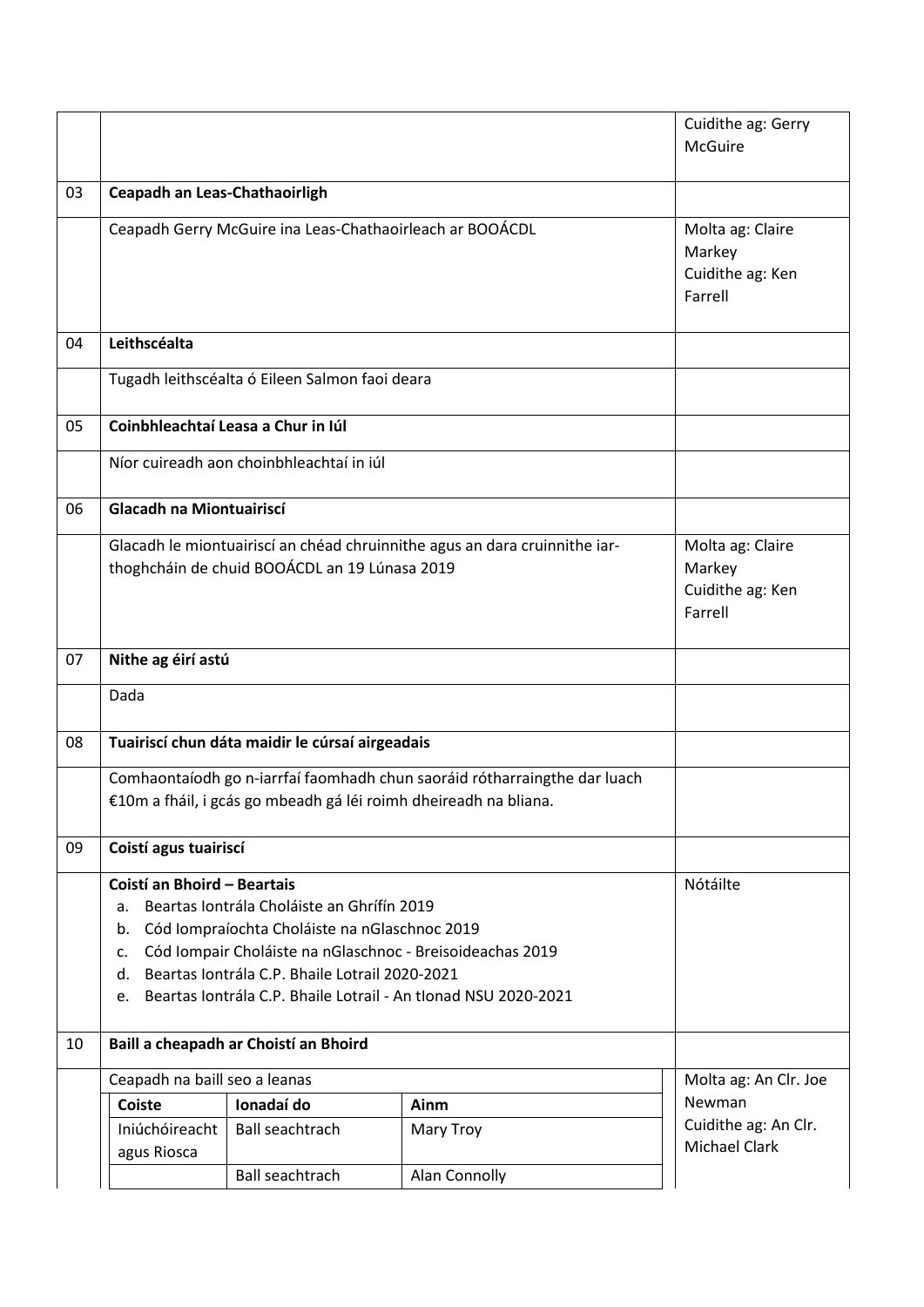|    |                                                                                                                                                                                                                                                                                                                                                       |                                                           |                                | Cuidithe ag: Gerry<br><b>McGuire</b> |  |  |
|----|-------------------------------------------------------------------------------------------------------------------------------------------------------------------------------------------------------------------------------------------------------------------------------------------------------------------------------------------------------|-----------------------------------------------------------|--------------------------------|--------------------------------------|--|--|
| 03 | Ceapadh an Leas-Chathaoirligh                                                                                                                                                                                                                                                                                                                         |                                                           |                                |                                      |  |  |
|    | Ceapadh Gerry McGuire ina Leas-Chathaoirleach ar BOOÁCDL                                                                                                                                                                                                                                                                                              | Molta ag: Claire<br>Markey<br>Cuidithe ag: Ken<br>Farrell |                                |                                      |  |  |
| 04 | Leithscéalta                                                                                                                                                                                                                                                                                                                                          |                                                           |                                |                                      |  |  |
|    |                                                                                                                                                                                                                                                                                                                                                       | Tugadh leithscéalta ó Eileen Salmon faoi deara            |                                |                                      |  |  |
| 05 |                                                                                                                                                                                                                                                                                                                                                       | Coinbhleachtaí Leasa a Chur in Iúl                        |                                |                                      |  |  |
|    |                                                                                                                                                                                                                                                                                                                                                       | Níor cuireadh aon choinbhleachtaí in iúl                  |                                |                                      |  |  |
| 06 | Glacadh na Miontuairiscí                                                                                                                                                                                                                                                                                                                              |                                                           |                                |                                      |  |  |
|    | Glacadh le miontuairiscí an chéad chruinnithe agus an dara cruinnithe iar-<br>thoghcháin de chuid BOOÁCDL an 19 Lúnasa 2019                                                                                                                                                                                                                           | Molta ag: Claire<br>Markey<br>Cuidithe ag: Ken<br>Farrell |                                |                                      |  |  |
| 07 | Nithe ag éirí astú                                                                                                                                                                                                                                                                                                                                    |                                                           |                                |                                      |  |  |
|    | Dada                                                                                                                                                                                                                                                                                                                                                  |                                                           |                                |                                      |  |  |
| 08 | Tuairiscí chun dáta maidir le cúrsaí airgeadais                                                                                                                                                                                                                                                                                                       |                                                           |                                |                                      |  |  |
|    | Comhaontaíodh go n-iarrfaí faomhadh chun saoráid rótharraingthe dar luach<br>€10m a fháil, i gcás go mbeadh gá léi roimh dheireadh na bliana.                                                                                                                                                                                                         |                                                           |                                |                                      |  |  |
| 09 | Coistí agus tuairiscí                                                                                                                                                                                                                                                                                                                                 |                                                           |                                |                                      |  |  |
|    | Coistí an Bhoird - Beartais<br>Beartas Iontrála Choláiste an Ghrífín 2019<br>a.<br>Cód Iompraíochta Choláiste na nGlaschnoc 2019<br>b.<br>Cód Iompair Choláiste na nGlaschnoc - Breisoideachas 2019<br>$\mathsf{C}$ .<br>Beartas Iontrála C.P. Bhaile Lotrail 2020-2021<br>d.<br>Beartas Iontrála C.P. Bhaile Lotrail - An tIonad NSU 2020-2021<br>e. | Nótáilte                                                  |                                |                                      |  |  |
| 10 | Baill a cheapadh ar Choistí an Bhoird                                                                                                                                                                                                                                                                                                                 |                                                           |                                |                                      |  |  |
|    | Ceapadh na baill seo a leanas                                                                                                                                                                                                                                                                                                                         | Molta ag: An Clr. Joe                                     |                                |                                      |  |  |
|    | <b>Coiste</b><br>Ionadaí do<br>Ainm                                                                                                                                                                                                                                                                                                                   |                                                           | Newman<br>Cuidithe ag: An Clr. |                                      |  |  |
|    | Iniúchóireacht<br>agus Riosca                                                                                                                                                                                                                                                                                                                         | <b>Ball seachtrach</b>                                    | Mary Troy                      | <b>Michael Clark</b>                 |  |  |
|    |                                                                                                                                                                                                                                                                                                                                                       | Ball seachtrach                                           | Alan Connolly                  |                                      |  |  |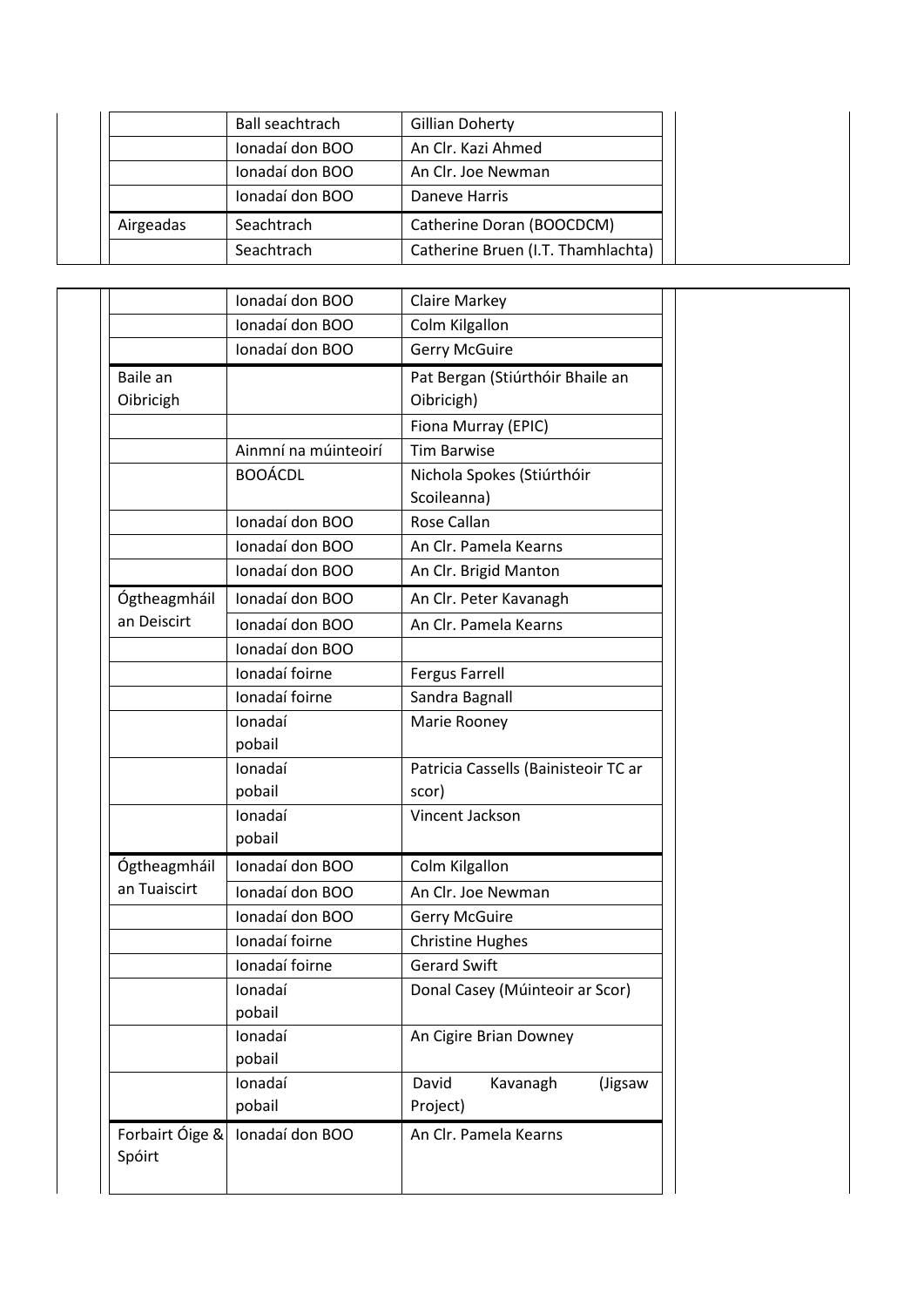|           | Ball seachtrach | Gillian Doherty                    |
|-----------|-----------------|------------------------------------|
|           | Ionadaí don BOO | An Clr. Kazi Ahmed                 |
|           | Ionadaí don BOO | An Clr. Joe Newman                 |
|           | Ionadaí don BOO | Daneve Harris                      |
| Airgeadas | Seachtrach      | Catherine Doran (BOOCDCM)          |
|           | Seachtrach      | Catherine Bruen (I.T. Thamhlachta) |

|                 | Ionadaí don BOO      | <b>Claire Markey</b>                 |
|-----------------|----------------------|--------------------------------------|
|                 | Ionadaí don BOO      | Colm Kilgallon                       |
|                 | Ionadaí don BOO      | <b>Gerry McGuire</b>                 |
| Baile an        |                      | Pat Bergan (Stiúrthóir Bhaile an     |
| Oibricigh       |                      | Oibricigh)                           |
|                 |                      | Fiona Murray (EPIC)                  |
|                 | Ainmní na múinteoirí | <b>Tim Barwise</b>                   |
|                 | <b>BOOÁCDL</b>       | Nichola Spokes (Stiúrthóir           |
|                 |                      | Scoileanna)                          |
|                 | Ionadaí don BOO      | Rose Callan                          |
|                 | Ionadaí don BOO      | An Clr. Pamela Kearns                |
|                 | Ionadaí don BOO      | An Clr. Brigid Manton                |
| Ógtheagmháil    | Ionadaí don BOO      | An Clr. Peter Kavanagh               |
| an Deiscirt     | Ionadaí don BOO      | An Clr. Pamela Kearns                |
|                 | Ionadaí don BOO      |                                      |
|                 | Ionadaí foirne       | <b>Fergus Farrell</b>                |
|                 | Ionadaí foirne       | Sandra Bagnall                       |
|                 | Ionadaí              | Marie Rooney                         |
|                 | pobail               |                                      |
|                 | Ionadaí              | Patricia Cassells (Bainisteoir TC ar |
|                 | pobail               | scor)                                |
|                 | Ionadaí              | Vincent Jackson                      |
|                 | pobail               |                                      |
| Ógtheagmháil    | Ionadaí don BOO      | Colm Kilgallon                       |
| an Tuaiscirt    | Ionadaí don BOO      | An Clr. Joe Newman                   |
|                 | Ionadaí don BOO      | <b>Gerry McGuire</b>                 |
|                 | Ionadaí foirne       | <b>Christine Hughes</b>              |
|                 | Ionadaí foirne       | <b>Gerard Swift</b>                  |
|                 | lonadaí              | Donal Casey (Múinteoir ar Scor)      |
|                 | pobail               |                                      |
|                 | Ionadaí              | An Cigire Brian Downey               |
|                 | pobail               |                                      |
|                 | Ionadaí              | David<br>Kavanagh<br>(Jigsaw         |
|                 | pobail               | Project)                             |
| Forbairt Óige & | Ionadaí don BOO      | An Clr. Pamela Kearns                |
| Spóirt          |                      |                                      |
|                 |                      |                                      |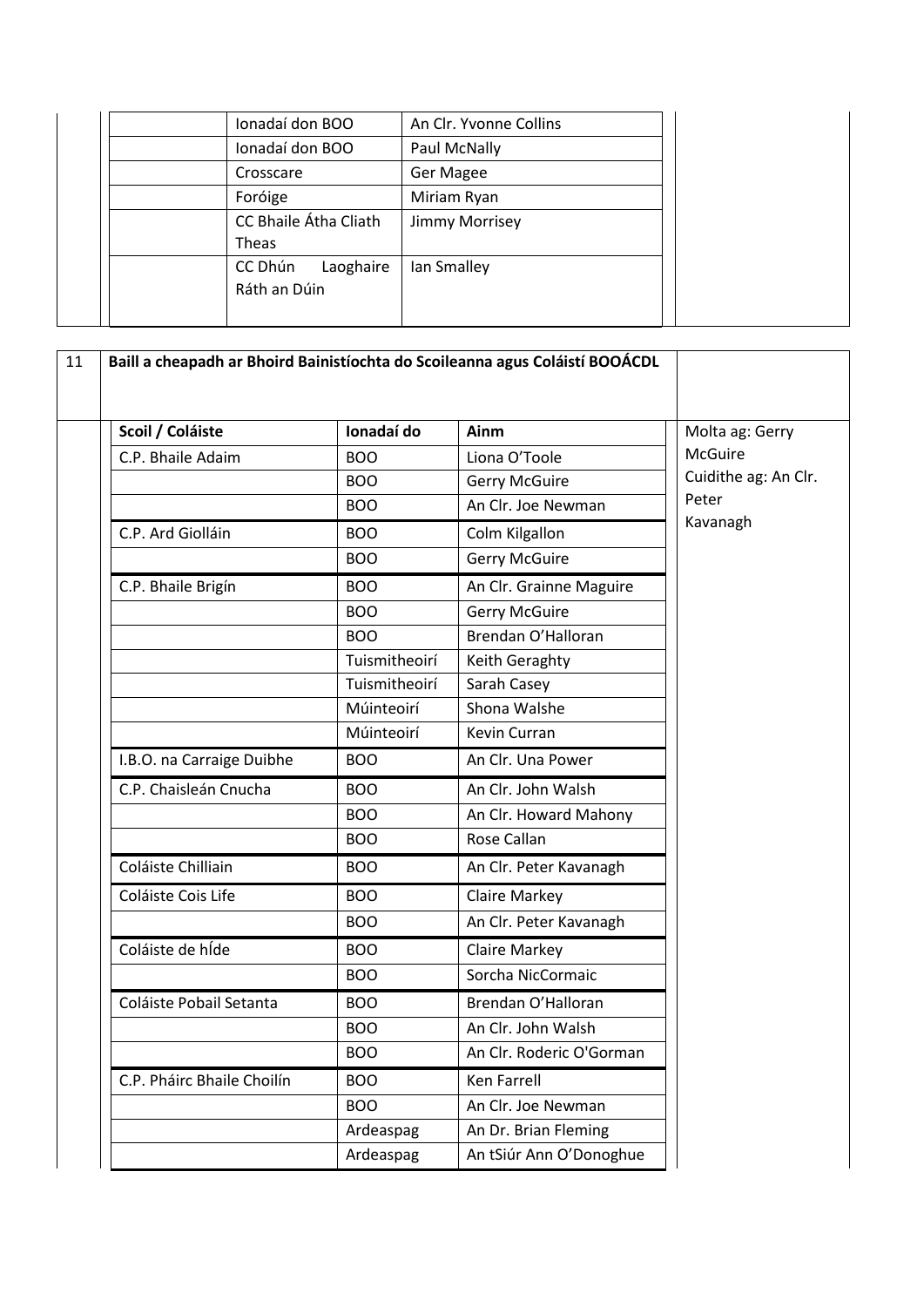| Ionadaí don BOO                      | An Clr. Yvonne Collins |
|--------------------------------------|------------------------|
| Ionadaí don BOO                      | Paul McNally           |
| Crosscare                            | Ger Magee              |
| Foróige                              | Miriam Ryan            |
| CC Bhaile Átha Cliath<br>Theas       | Jimmy Morrisey         |
| CC Dhún<br>Laoghaire<br>Ráth an Dúin | Ian Smalley            |

| Scoil / Coláiste           | Ionadaí do    | Ainm                     | Molta ag: Gerry      |
|----------------------------|---------------|--------------------------|----------------------|
| C.P. Bhaile Adaim          | <b>BOO</b>    | Liona O'Toole            | McGuire              |
|                            | <b>BOO</b>    | <b>Gerry McGuire</b>     | Cuidithe ag: An Clr. |
|                            | <b>BOO</b>    | An Clr. Joe Newman       | Peter                |
| C.P. Ard Giolláin          | <b>BOO</b>    | Colm Kilgallon           | Kavanagh             |
|                            | <b>BOO</b>    | <b>Gerry McGuire</b>     |                      |
| C.P. Bhaile Brigín         | <b>BOO</b>    | An Clr. Grainne Maguire  |                      |
|                            | <b>BOO</b>    | <b>Gerry McGuire</b>     |                      |
|                            | <b>BOO</b>    | Brendan O'Halloran       |                      |
|                            | Tuismitheoirí | Keith Geraghty           |                      |
|                            | Tuismitheoirí | Sarah Casey              |                      |
|                            | Múinteoirí    | Shona Walshe             |                      |
|                            | Múinteoirí    | Kevin Curran             |                      |
| I.B.O. na Carraige Duibhe  | <b>BOO</b>    | An Clr. Una Power        |                      |
| C.P. Chaisleán Cnucha      | <b>BOO</b>    | An Clr. John Walsh       |                      |
|                            | <b>BOO</b>    | An Clr. Howard Mahony    |                      |
|                            | <b>BOO</b>    | Rose Callan              |                      |
| Coláiste Chilliain         | <b>BOO</b>    | An Clr. Peter Kavanagh   |                      |
| Coláiste Cois Life         | <b>BOO</b>    | <b>Claire Markey</b>     |                      |
|                            | <b>BOO</b>    | An Clr. Peter Kavanagh   |                      |
| Coláiste de híde           | <b>BOO</b>    | Claire Markey            |                      |
|                            | <b>BOO</b>    | Sorcha NicCormaic        |                      |
| Coláiste Pobail Setanta    | <b>BOO</b>    | Brendan O'Halloran       |                      |
|                            | <b>BOO</b>    | An Clr. John Walsh       |                      |
|                            | <b>BOO</b>    | An Clr. Roderic O'Gorman |                      |
| C.P. Pháirc Bhaile Choilín | <b>BOO</b>    | Ken Farrell              |                      |
|                            | <b>BOO</b>    | An Clr. Joe Newman       |                      |
|                            | Ardeaspag     | An Dr. Brian Fleming     |                      |
|                            | Ardeaspag     | An tSiúr Ann O'Donoghue  |                      |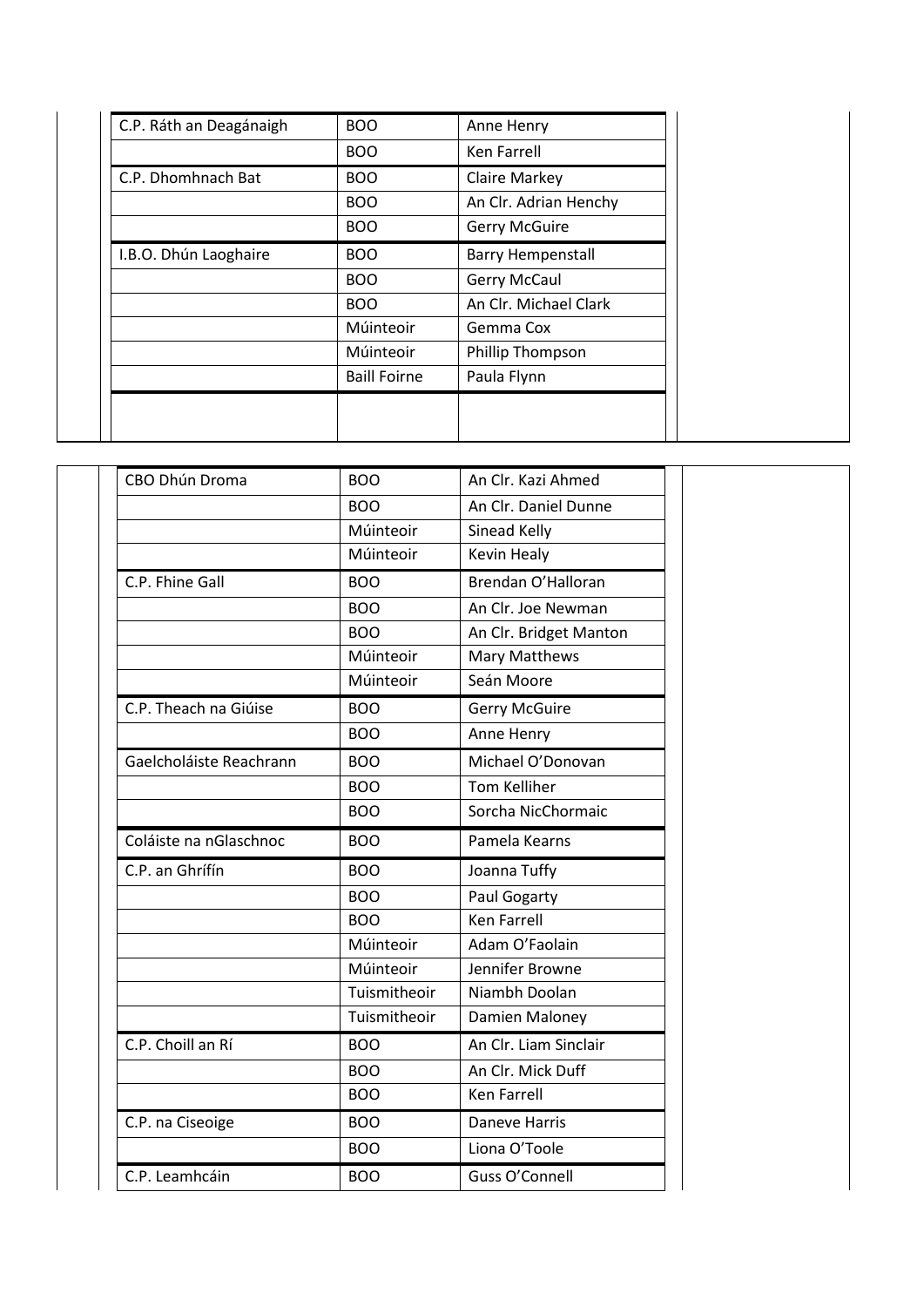| C.P. Ráth an Deagánaigh | <b>BOO</b>          | Anne Henry               |
|-------------------------|---------------------|--------------------------|
|                         | <b>BOO</b>          | <b>Ken Farrell</b>       |
| C.P. Dhomhnach Bat      | <b>BOO</b>          | Claire Markey            |
|                         | <b>BOO</b>          | An Clr. Adrian Henchy    |
|                         | <b>BOO</b>          | <b>Gerry McGuire</b>     |
| I.B.O. Dhún Laoghaire   | <b>BOO</b>          | <b>Barry Hempenstall</b> |
|                         | <b>BOO</b>          | Gerry McCaul             |
|                         | <b>BOO</b>          | An Clr. Michael Clark    |
|                         | Múinteoir           | Gemma Cox                |
|                         | Múinteoir           | Phillip Thompson         |
|                         | <b>Baill Foirne</b> | Paula Flynn              |
|                         |                     |                          |
|                         |                     |                          |

| CBO Dhún Droma          | <b>BOO</b>   | An Clr. Kazi Ahmed     |
|-------------------------|--------------|------------------------|
|                         | <b>BOO</b>   | An Clr. Daniel Dunne   |
|                         | Múinteoir    | Sinead Kelly           |
|                         | Múinteoir    | Kevin Healy            |
| C.P. Fhine Gall         | <b>BOO</b>   | Brendan O'Halloran     |
|                         | <b>BOO</b>   | An Clr. Joe Newman     |
|                         | <b>BOO</b>   | An Clr. Bridget Manton |
|                         | Múinteoir    | <b>Mary Matthews</b>   |
|                         | Múinteoir    | Seán Moore             |
| C.P. Theach na Giúise   | <b>BOO</b>   | <b>Gerry McGuire</b>   |
|                         | <b>BOO</b>   | Anne Henry             |
| Gaelcholáiste Reachrann | <b>BOO</b>   | Michael O'Donovan      |
|                         | <b>BOO</b>   | <b>Tom Kelliher</b>    |
|                         | <b>BOO</b>   | Sorcha NicChormaic     |
| Coláiste na nGlaschnoc  | <b>BOO</b>   | Pamela Kearns          |
|                         |              |                        |
| C.P. an Ghrífín         | <b>BOO</b>   | Joanna Tuffy           |
|                         | <b>BOO</b>   | Paul Gogarty           |
|                         | <b>BOO</b>   | <b>Ken Farrell</b>     |
|                         | Múinteoir    | Adam O'Faolain         |
|                         | Múinteoir    | Jennifer Browne        |
|                         | Tuismitheoir | Niambh Doolan          |
|                         | Tuismitheoir | Damien Maloney         |
| C.P. Choill an Rí       | <b>BOO</b>   | An Clr. Liam Sinclair  |
|                         | <b>BOO</b>   | An Clr. Mick Duff      |
|                         | <b>BOO</b>   | Ken Farrell            |
| C.P. na Ciseoige        | <b>BOO</b>   | <b>Daneve Harris</b>   |
|                         | <b>BOO</b>   | Liona O'Toole          |
| C.P. Leamhcáin          | <b>BOO</b>   | Guss O'Connell         |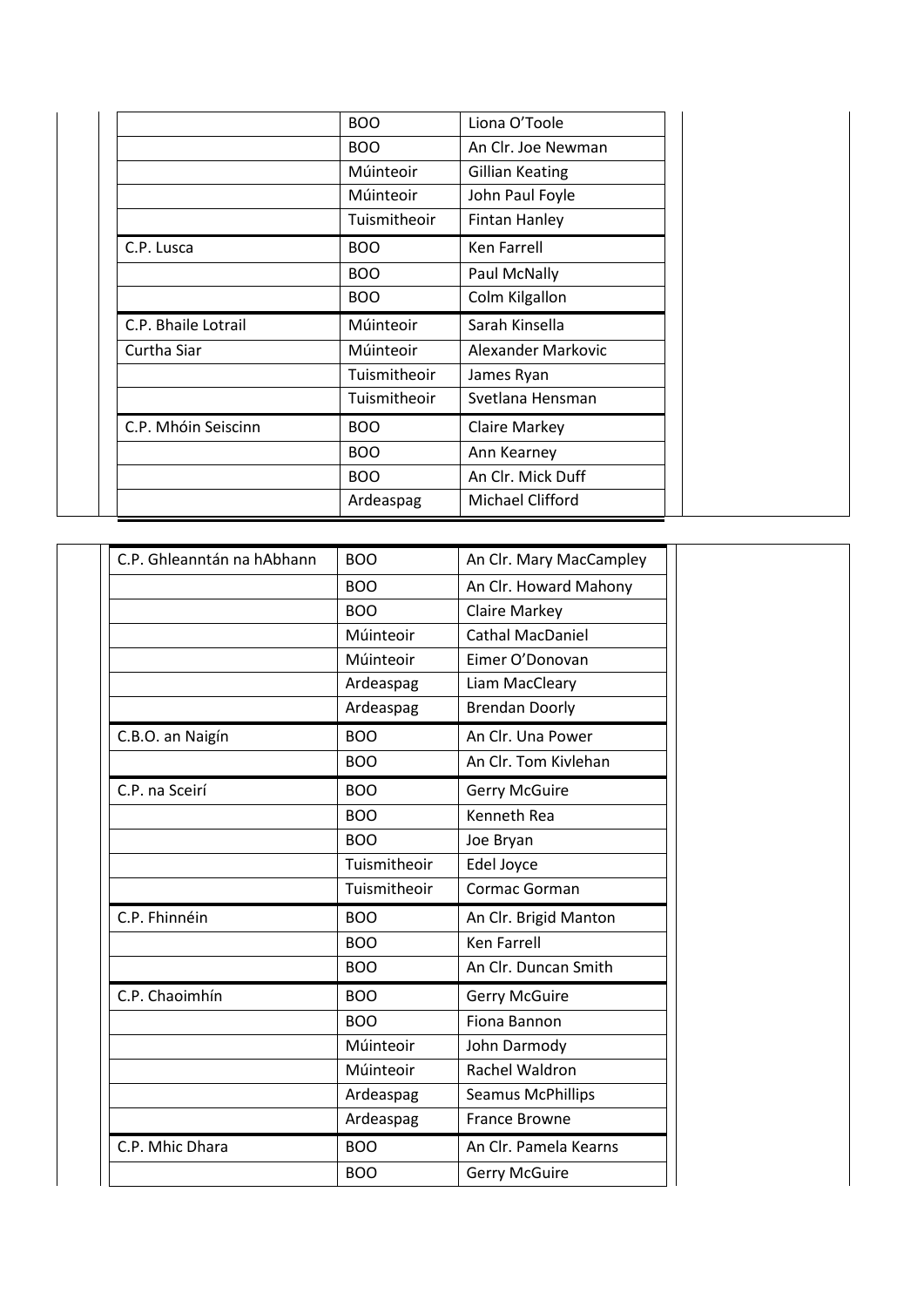|                     | <b>BOO</b>   | Liona O'Toole          |
|---------------------|--------------|------------------------|
|                     | <b>BOO</b>   | An Clr. Joe Newman     |
|                     | Múinteoir    | <b>Gillian Keating</b> |
|                     | Múinteoir    | John Paul Foyle        |
|                     | Tuismitheoir | <b>Fintan Hanley</b>   |
| C.P. Lusca          | <b>BOO</b>   | Ken Farrell            |
|                     | <b>BOO</b>   | Paul McNally           |
|                     | <b>BOO</b>   | Colm Kilgallon         |
|                     |              |                        |
| C.P. Bhaile Lotrail | Múinteoir    | Sarah Kinsella         |
| Curtha Siar         | Múinteoir    | Alexander Markovic     |
|                     | Tuismitheoir | James Ryan             |
|                     | Tuismitheoir | Svetlana Hensman       |
| C.P. Mhóin Seiscinn | <b>BOO</b>   | <b>Claire Markey</b>   |
|                     | <b>BOO</b>   | Ann Kearney            |
|                     | <b>BOO</b>   | An Clr. Mick Duff      |

| C.P. Ghleanntán na hAbhann | <b>BOO</b>   | An Clr. Mary MacCampley  |
|----------------------------|--------------|--------------------------|
|                            | <b>BOO</b>   | An Clr. Howard Mahony    |
|                            | <b>BOO</b>   | <b>Claire Markey</b>     |
|                            | Múinteoir    | Cathal MacDaniel         |
|                            | Múinteoir    | Eimer O'Donovan          |
|                            | Ardeaspag    | Liam MacCleary           |
|                            | Ardeaspag    | <b>Brendan Doorly</b>    |
| C.B.O. an Naigín           | <b>BOO</b>   | An Clr. Una Power        |
|                            | <b>BOO</b>   | An Clr. Tom Kivlehan     |
| C.P. na Sceirí             | <b>BOO</b>   | <b>Gerry McGuire</b>     |
|                            | <b>BOO</b>   | <b>Kenneth Rea</b>       |
|                            | <b>BOO</b>   | Joe Bryan                |
|                            | Tuismitheoir | Edel Joyce               |
|                            | Tuismitheoir | Cormac Gorman            |
| C.P. Fhinnéin              | <b>BOO</b>   | An Clr. Brigid Manton    |
|                            | <b>BOO</b>   | <b>Ken Farrell</b>       |
|                            | <b>BOO</b>   | An Clr. Duncan Smith     |
| C.P. Chaoimhín             | <b>BOO</b>   | <b>Gerry McGuire</b>     |
|                            | <b>BOO</b>   | Fiona Bannon             |
|                            | Múinteoir    | John Darmody             |
|                            | Múinteoir    | Rachel Waldron           |
|                            | Ardeaspag    | <b>Seamus McPhillips</b> |
|                            | Ardeaspag    | <b>France Browne</b>     |
| C.P. Mhic Dhara            | <b>BOO</b>   | An Clr. Pamela Kearns    |
|                            | <b>BOO</b>   | <b>Gerry McGuire</b>     |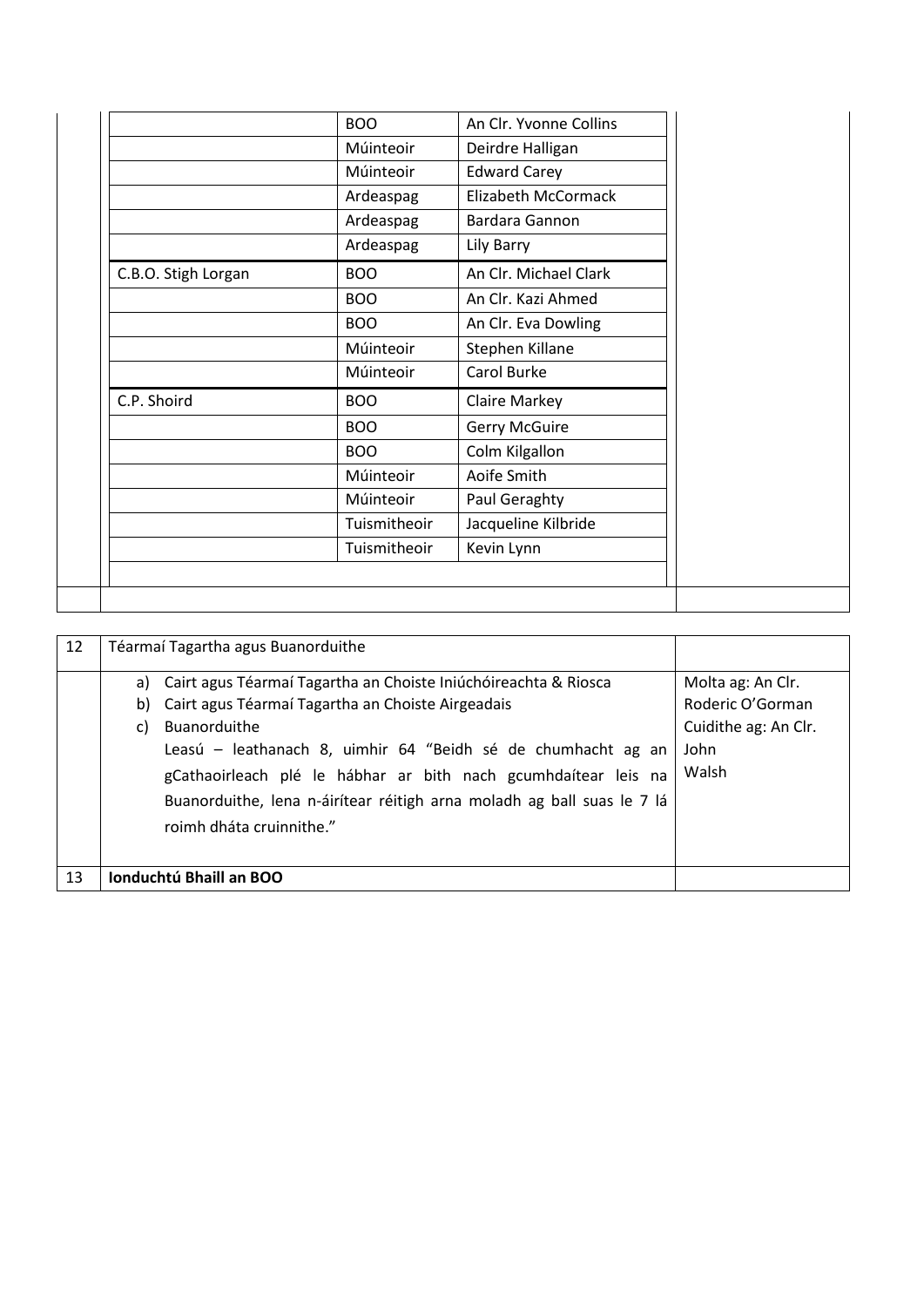|                     | <b>BOO</b>   | An Clr. Yvonne Collins |
|---------------------|--------------|------------------------|
|                     | Múinteoir    | Deirdre Halligan       |
|                     | Múinteoir    | <b>Edward Carey</b>    |
|                     | Ardeaspag    | Elizabeth McCormack    |
|                     | Ardeaspag    | Bardara Gannon         |
|                     | Ardeaspag    | Lily Barry             |
| C.B.O. Stigh Lorgan | <b>BOO</b>   | An Clr. Michael Clark  |
|                     | <b>BOO</b>   | An Clr. Kazi Ahmed     |
|                     | <b>BOO</b>   | An Clr. Eva Dowling    |
|                     | Múinteoir    | Stephen Killane        |
|                     | Múinteoir    | Carol Burke            |
| C.P. Shoird         | <b>BOO</b>   | Claire Markey          |
|                     | <b>BOO</b>   | <b>Gerry McGuire</b>   |
|                     | <b>BOO</b>   | Colm Kilgallon         |
|                     | Múinteoir    | Aoife Smith            |
|                     | Múinteoir    | Paul Geraghty          |
|                     | Tuismitheoir | Jacqueline Kilbride    |
|                     |              |                        |

| 12 |                | Téarmaí Tagartha agus Buanorduithe                                                                                                                                                                                                                                                                                                                                           |                                                                                |
|----|----------------|------------------------------------------------------------------------------------------------------------------------------------------------------------------------------------------------------------------------------------------------------------------------------------------------------------------------------------------------------------------------------|--------------------------------------------------------------------------------|
|    | a)<br>b)<br>C) | Cairt agus Téarmaí Tagartha an Choiste Iniúchóireachta & Riosca<br>Cairt agus Téarmaí Tagartha an Choiste Airgeadais<br>Buanorduithe<br>Leasú – leathanach 8, uimhir 64 "Beidh sé de chumhacht ag an<br>gCathaoirleach plé le hábhar ar bith nach gcumhdaítear leis na<br>Buanorduithe, lena n-áirítear réitigh arna moladh ag ball suas le 7 lá<br>roimh dháta cruinnithe." | Molta ag: An Clr.<br>Roderic O'Gorman<br>Cuidithe ag: An Clr.<br>John<br>Walsh |
| 13 |                | Ionduchtú Bhaill an BOO                                                                                                                                                                                                                                                                                                                                                      |                                                                                |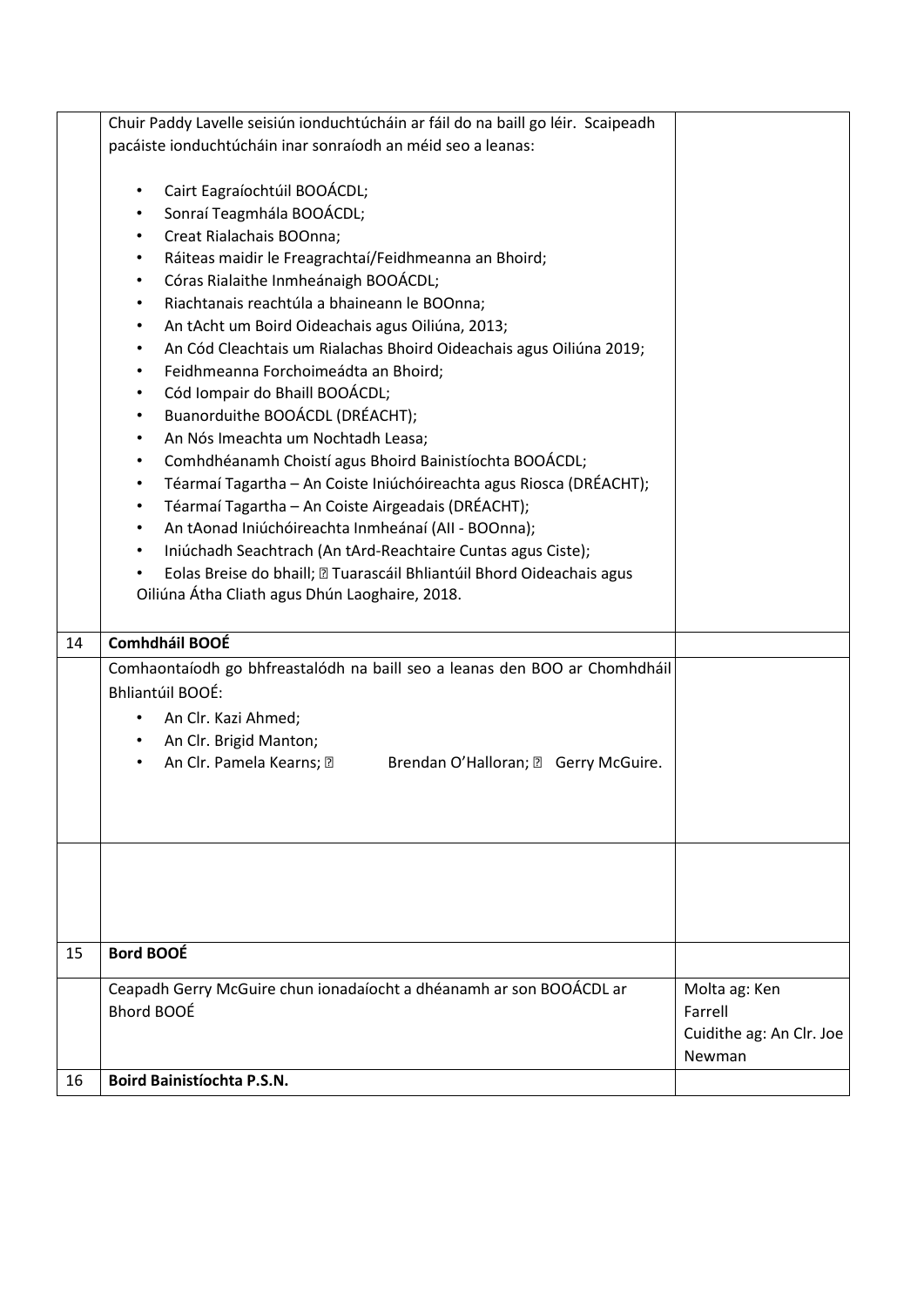|    | Chuir Paddy Lavelle seisiún ionduchtúcháin ar fáil do na baill go léir. Scaipeadh |                          |
|----|-----------------------------------------------------------------------------------|--------------------------|
|    | pacáiste ionduchtúcháin inar sonraíodh an méid seo a leanas:                      |                          |
|    |                                                                                   |                          |
|    | Cairt Eagraíochtúil BOOÁCDL;<br>$\bullet$                                         |                          |
|    | Sonraí Teagmhála BOOÁCDL;<br>$\bullet$                                            |                          |
|    | Creat Rialachais BOOnna;<br>$\bullet$                                             |                          |
|    | Ráiteas maidir le Freagrachtaí/Feidhmeanna an Bhoird;<br>$\bullet$                |                          |
|    | Córas Rialaithe Inmheánaigh BOOÁCDL;<br>$\bullet$                                 |                          |
|    | Riachtanais reachtúla a bhaineann le BOOnna;<br>$\bullet$                         |                          |
|    | An tAcht um Boird Oideachais agus Oiliúna, 2013;<br>$\bullet$                     |                          |
|    | An Cód Cleachtais um Rialachas Bhoird Oideachais agus Oiliúna 2019;<br>$\bullet$  |                          |
|    | Feidhmeanna Forchoimeádta an Bhoird;<br>$\bullet$                                 |                          |
|    | Cód Iompair do Bhaill BOOÁCDL;<br>$\bullet$                                       |                          |
|    | Buanorduithe BOOÁCDL (DRÉACHT);<br>$\bullet$                                      |                          |
|    | An Nós Imeachta um Nochtadh Leasa;<br>$\bullet$                                   |                          |
|    | Comhdhéanamh Choistí agus Bhoird Bainistíochta BOOÁCDL;<br>$\bullet$              |                          |
|    | Téarmaí Tagartha - An Coiste Iniúchóireachta agus Riosca (DRÉACHT);<br>$\bullet$  |                          |
|    | Téarmaí Tagartha - An Coiste Airgeadais (DRÉACHT);<br>$\bullet$                   |                          |
|    | An tAonad Iniúchóireachta Inmheánaí (All - BOOnna);<br>$\bullet$                  |                          |
|    | Iniúchadh Seachtrach (An tArd-Reachtaire Cuntas agus Ciste);<br>$\bullet$         |                          |
|    | Eolas Breise do bhaill; @ Tuarascáil Bhliantúil Bhord Oideachais agus<br>٠        |                          |
|    | Oiliúna Átha Cliath agus Dhún Laoghaire, 2018.                                    |                          |
|    |                                                                                   |                          |
| 14 | Comhdháil BOOÉ                                                                    |                          |
|    | Comhaontaíodh go bhfreastalódh na baill seo a leanas den BOO ar Chomhdháil        |                          |
|    | Bhliantúil BOOÉ:                                                                  |                          |
|    | An Clr. Kazi Ahmed;<br>$\bullet$                                                  |                          |
|    | An Clr. Brigid Manton;<br>$\bullet$                                               |                          |
|    | An Clr. Pamela Kearns; ?<br>Brendan O'Halloran; 2 Gerry McGuire.<br>$\bullet$     |                          |
|    |                                                                                   |                          |
|    |                                                                                   |                          |
|    |                                                                                   |                          |
|    |                                                                                   |                          |
|    |                                                                                   |                          |
|    |                                                                                   |                          |
|    |                                                                                   |                          |
|    |                                                                                   |                          |
| 15 | Bord BOOÉ                                                                         |                          |
|    | Ceapadh Gerry McGuire chun ionadaíocht a dhéanamh ar son BOOÁCDL ar               | Molta ag: Ken            |
|    | <b>Bhord BOOÉ</b>                                                                 | Farrell                  |
|    |                                                                                   | Cuidithe ag: An Clr. Joe |
|    |                                                                                   | Newman                   |
| 16 | <b>Boird Bainistíochta P.S.N.</b>                                                 |                          |
|    |                                                                                   |                          |